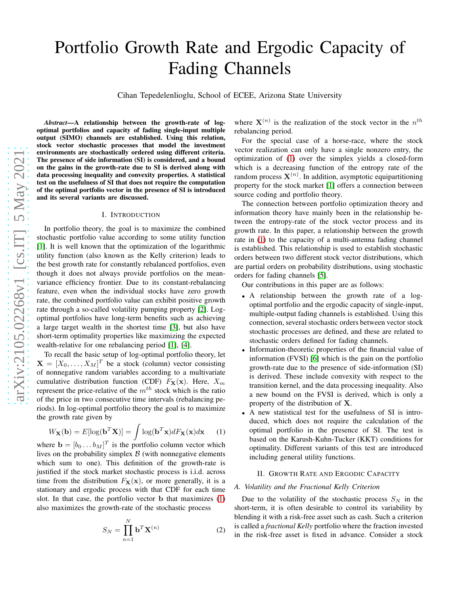# Portfolio Growth Rate and Ergodic Capacity of Fading Channels

Cihan Tepedelenlioglu, School of ECEE, Arizona State University

*Abstract*—A relationship between the growth-rate of logoptimal portfolios and capacity of fading single-input multiple output (SIMO) channels are established. Using this relation, stock vector stochastic processes that model the investmen t environments are stochastically ordered using different criteria. The presence of side information (SI) is considered, and a bound on the gains in the growth-rate due to SI is derived along with data processing inequality and convexity properties. A statistical test on the usefulness of SI that does not require the computation of the optimal portfolio vector in the presence of SI is introduced and its several variants are discussed.

# I. INTRODUCTION

In portfolio theory, the goal is to maximize the combined stochastic portfolio value according to some utility function [\[1\]](#page-5-0). It is well known that the optimization of the logarithmi c utility function (also known as the Kelly criterion) leads t o the best growth rate for constantly rebalanced portfolios, even though it does not always provide portfolios on the meanvariance efficiency frontier. Due to its constant-rebalancing feature, even when the individual stocks have zero growth rate, the combined portfolio value can exhibit positive growth rate through a so-called volatility pumping property [\[2\]](#page-5-1). Logoptimal portfolios have long-term benefits such as achieving a large target wealth in the shortest time [\[3\]](#page-5-2), but also have short-term optimality properties like maximizing the expected wealth-relative for one rebalancing period [\[1\]](#page-5-0), [\[4\]](#page-5-3).

To recall the basic setup of log-optimal portfolio theory, let  $\mathbf{X} = [X_0, \dots, X_M]^T$  be a stock (column) vector consisting of nonnegative random variables according to a multivariat e cumulative distribution function (CDF)  $F_{\mathbf{X}}(\mathbf{x})$ . Here,  $X_m$ represent the price-relative of the  $m^{th}$  stock which is the ratio of the price in two consecutive time intervals (rebalancing periods). In log-optimal portfolio theory the goal is to maximize the growth rate given by

<span id="page-0-0"></span>
$$
W_{\mathbf{X}}(\mathbf{b}) = E[\log(\mathbf{b}^T \mathbf{X})] = \int \log(\mathbf{b}^T \mathbf{x}) dF_{\mathbf{X}}(\mathbf{x}) d\mathbf{x} \qquad (1)
$$

where  $\mathbf{b} = [b_0 \dots b_M]^T$  is the portfolio column vector which lives on the probability simplex  $\beta$  (with nonnegative elements which sum to one). This definition of the growth-rate is justified if the stock market stochastic process is i.i.d. across time from the distribution  $F_{\mathbf{X}}(\mathbf{x})$ , or more generally, it is a stationary and ergodic process with that CDF for each time slot. In that case, the portfolio vector b that maximizes [\(1\)](#page-0-0) also maximizes the growth-rate of the stochastic process

<span id="page-0-1"></span>
$$
S_N = \prod_{n=1}^N \mathbf{b}^T \mathbf{X}^{(n)} \tag{2}
$$

where  $X^{(n)}$  is the realization of the stock vector in the  $n^{th}$ rebalancing period.

For the special case of a horse-race, where the stock vector realization can only have a single nonzero entry, the optimization of [\(1\)](#page-0-0) over the simplex yields a closed-form which is a decreasing function of the entropy rate of the random process  $\mathbf{X}^{(n)}$ . In addition, asymptotic equipartitioning property for the stock market [\[1\]](#page-5-0) offers a connection betwee n source coding and portfolio theory.

The connection between portfolio optimization theory and information theory have mainly been in the relationship between the entropy-rate of the stock vector process and its growth rate. In this paper, a relationship between the growt h rate in [\(1\)](#page-0-0) to the capacity of a multi-antenna fading channel is established. This relationship is used to establish stochastic orders between two different stock vector distributions, which are partial orders on probability distributions, using stochastic orders for fading channels [\[5\]](#page-5-4).

Our contributions in this paper are as follows:

- A relationship between the growth rate of a logoptimal portfolio and the ergodic capacity of single-input, multiple-output fading channels is established. Using thi s connection, several stochastic orders between vector stoc k stochastic processes are defined, and these are related to stochastic orders defined for fading channels.
- Information-theoretic properties of the financial value of information (FVSI) [\[6\]](#page-5-5) which is the gain on the portfolio growth-rate due to the presence of side-information (SI) is derived. These include convexity with respect to the transition kernel, and the data processing inequality. Als o a new bound on the FVSI is derived, which is only a property of the distribution of  $X$ .
- A new statistical test for the usefulness of SI is introduced, which does not require the calculation of the optimal portfolio in the presence of SI. The test is based on the Karush-Kuhn-Tucker (KKT) conditions for optimality. Different variants of this test are introduced including general utility functions.

#### II. GROWTH RATE AND ERGODIC CAPACITY

# *A. Volatility and the Fractional Kelly Criterion*

Due to the volatility of the stochastic process  $S_N$  in the short-term, it is often desirable to control its variability by blending it with a risk-free asset such as cash. Such a criterion is called a *fractional Kelly* portfolio where the fraction invested in the risk-free asset is fixed in advance. Consider a stock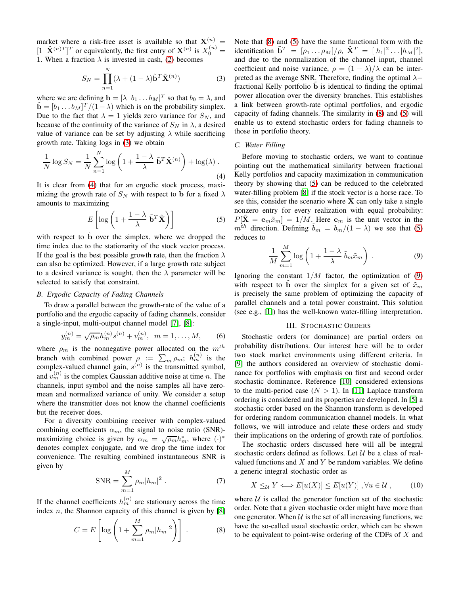market where a risk-free asset is available so that  $X^{(n)}$  =  $[1 \ \tilde{\mathbf{X}}^{(n)T}]^T$  or equivalently, the first entry of  $\mathbf{X}^{(n)}$  is  $X_0^{(n)}$  = 1. When a fraction  $\lambda$  is invested in cash, [\(2\)](#page-0-1) becomes

<span id="page-1-0"></span>
$$
S_N = \prod_{n=1}^N (\lambda + (1 - \lambda)\tilde{\mathbf{b}}^T \tilde{\mathbf{X}}^{(n)})
$$
(3)

where we are defining  $\mathbf{b} = [\lambda \, b_1 \dots b_M]^T$  so that  $b_0 = \lambda$ , and  $\tilde{\mathbf{b}} = [b_1 \dots b_M]^T / (1 - \lambda)$  which is on the probability simplex. Due to the fact that  $\lambda = 1$  yields zero variance for  $S_N$ , and because of the continuity of the variance of  $S_N$  in  $\lambda$ , a desired value of variance can be set by adjusting  $\lambda$  while sacrificing growth rate. Taking logs in [\(3\)](#page-1-0) we obtain

<span id="page-1-1"></span>
$$
\frac{1}{N}\log S_N = \frac{1}{N}\sum_{n=1}^{N}\log\left(1 + \frac{1-\lambda}{\lambda}\tilde{\mathbf{b}}^T\tilde{\mathbf{X}}^{(n)}\right) + \log(\lambda).
$$
\n(4)

It is clear from [\(4\)](#page-1-1) that for an ergodic stock process, maximizing the growth rate of  $S_N$  with respect to b for a fixed  $\lambda$ amounts to maximizing

<span id="page-1-3"></span>
$$
E\left[\log\left(1+\frac{1-\lambda}{\lambda}\tilde{\mathbf{b}}^T\tilde{\mathbf{X}}\right)\right]
$$
 (5)

with respect to b over the simplex, where we dropped the time index due to the stationarity of the stock vector process. If the goal is the best possible growth rate, then the fraction  $\lambda$ can also be optimized. However, if a large growth rate subject to a desired variance is sought, then the  $\lambda$  parameter will be selected to satisfy that constraint.

## *B. Ergodic Capacity of Fading Channels*

To draw a parallel between the growth-rate of the value of a portfolio and the ergodic capacity of fading channels, consider a single-input, multi-output channel model [\[7\]](#page-5-6), [\[8\]](#page-5-7):

$$
y_m^{(n)} = \sqrt{\rho_m} h_m^{(n)} s^{(n)} + v_m^{(n)}, \ \ m = 1, \dots, M,
$$
 (6)

where  $\rho_m$  is the nonnegative power allocated on the  $m^{th}$ branch with combined power  $\rho := \sum_m \rho_m$ ;  $h_m^{(n)}$  is the complex-valued channel gain,  $s^{(n)}$  is the transmitted symbol, and  $v_m^{(n)}$  is the complex Gaussian additive noise at time n. The channels, input symbol and the noise samples all have zeromean and normalized variance of unity. We consider a setup where the transmitter does not know the channel coefficients but the receiver does.

For a diversity combining receiver with complex-valued combining coefficients  $\alpha_m$ , the signal to noise ratio (SNR)maximizing choice is given by  $\alpha_m = \sqrt{\rho_m} h_m^*$ , where  $(\cdot)^*$ denotes complex conjugate, and we drop the time index for convenience. The resulting combined instantaneous SNR is given by

$$
SNR = \sum_{m=1}^{M} \rho_m |h_m|^2 . \tag{7}
$$

If the channel coefficients  $h_m^{(n)}$  are stationary across the time index  $n$ , the Shannon capacity of this channel is given by [\[8\]](#page-5-7)

<span id="page-1-2"></span>
$$
C = E\left[\log\left(1 + \sum_{m=1}^{M} \rho_m |h_m|^2\right)\right].
$$
 (8)

Note that [\(8\)](#page-1-2) and [\(5\)](#page-1-3) have the same functional form with the identification  $\tilde{\mathbf{b}}^T = [\rho_1 \dots \rho_M]/\rho$ ,  $\tilde{\mathbf{X}}^T = [[h_1]^2 \dots |h_M|^2]$ , and due to the normalization of the channel input, channel coefficient and noise variance,  $\rho = (1 - \lambda)/\lambda$  can be interpreted as the average SNR. Therefore, finding the optimal  $\lambda$ − fractional Kelly portfolio b is identical to finding the optimal power allocation over the diversity branches. This establishes a link between growth-rate optimal portfolios, and ergodic capacity of fading channels. The similarity in [\(8\)](#page-1-2) and [\(5\)](#page-1-3) will enable us to extend stochastic orders for fading channels to those in portfolio theory.

# *C. Water Filling*

Before moving to stochastic orders, we want to continue pointing out the mathematical similarity between fractional Kelly portfolios and capacity maximization in communication theory by showing that [\(5\)](#page-1-3) can be reduced to the celebrated water-filling problem [\[8\]](#page-5-7) if the stock vector is a horse race. To see this, consider the scenario where  $\hat{\mathbf{X}}$  can only take a single nonzero entry for every realization with equal probability:  $P[\tilde{\mathbf{X}} = \mathbf{e}_m \tilde{x}_m] = 1/M$ . Here  $\mathbf{e}_m$  is the unit vector in the  $m^{th}$  direction. Defining  $\tilde{b}_m = b_m/(1 - \lambda)$  we see that [\(5\)](#page-1-3) reduces to

<span id="page-1-4"></span>
$$
\frac{1}{M} \sum_{m=1}^{M} \log \left( 1 + \frac{1 - \lambda}{\lambda} \tilde{b}_m \tilde{x}_m \right) . \tag{9}
$$

Ignoring the constant  $1/M$  factor, the optimization of [\(9\)](#page-1-4) with respect to b over the simplex for a given set of  $\tilde{x}_m$ is precisely the same problem of optimizing the capacity of parallel channels and a total power constraint. This solution (see e.g., [\[1\]](#page-5-0)) has the well-known water-filling interpretation.

#### III. STOCHASTIC ORDERS

Stochastic orders (or dominance) are partial orders on probability distributions. Our interest here will be to order two stock market environments using different criteria. In [\[9\]](#page-5-8) the authors considered an overview of stochastic dominance for portfolios with emphasis on first and second order stochastic dominance. Reference [\[10\]](#page-5-9) considered extensions to the multi-period case  $(N > 1)$ . In [\[11\]](#page-5-10) Laplace transform ordering is considered and its properties are developed. In [\[5\]](#page-5-4) a stochastic order based on the Shannon transform is developed for ordering random communication channel models. In what follows, we will introduce and relate these orders and study their implications on the ordering of growth rate of portfolios.

The stochastic orders discussed here will all be integral stochastic orders defined as follows. Let  $U$  be a class of realvalued functions and  $X$  and  $Y$  be random variables. We define a generic integral stochastic order as

<span id="page-1-5"></span>
$$
X \leq_{\mathcal{U}} Y \Longleftrightarrow E[u(X)] \leq E[u(Y)], \forall u \in \mathcal{U}, \qquad (10)
$$

where  $U$  is called the generator function set of the stochastic order. Note that a given stochastic order might have more than one generator. When  $U$  is the set of all increasing functions, we have the so-called usual stochastic order, which can be shown to be equivalent to point-wise ordering of the CDFs of  $X$  and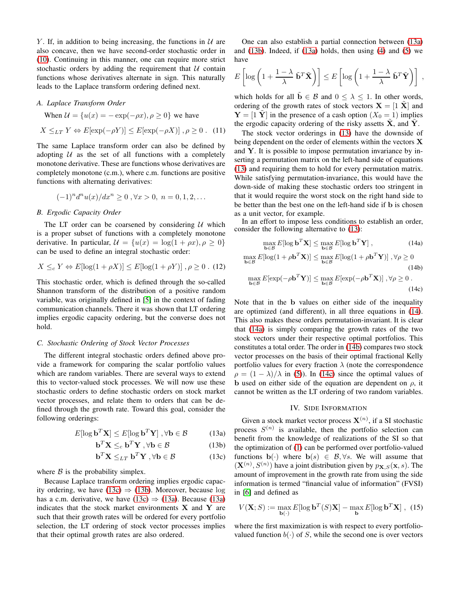Y. If, in addition to being increasing, the functions in  $U$  are also concave, then we have second-order stochastic order in [\(10\)](#page-1-5). Continuing in this manner, one can require more strict stochastic orders by adding the requirement that  $U$  contain functions whose derivatives alternate in sign. This naturally leads to the Laplace transform ordering defined next.

#### *A. Laplace Transform Order*

When  $\mathcal{U} = \{u(x) = -\exp(-\rho x), \rho \ge 0\}$  we have  $X \leq_{LT} Y \Leftrightarrow E[\exp(-\rho Y)] \leq E[\exp(-\rho X)]$ ,  $\rho \geq 0$ . (11)

The same Laplace transform order can also be defined by adopting  $U$  as the set of all functions with a completely monotone derivative. These are functions whose derivatives are completely monotone (c.m.), where c.m. functions are positive functions with alternating derivatives:

$$
(-1)^n d^n u(x)/dx^n \ge 0
$$
,  $\forall x > 0$ ,  $n = 0, 1, 2, ...$ 

#### *B. Ergodic Capacity Order*

The LT order can be coarsened by considering  $U$  which is a proper subset of functions with a completely monotone derivative. In particular,  $\mathcal{U} = \{u(x) = \log(1 + \rho x), \rho \ge 0\}$ can be used to define an integral stochastic order:

$$
X \leq_c Y \Leftrightarrow E[\log(1 + \rho X)] \leq E[\log(1 + \rho Y)], \rho \geq 0. \tag{12}
$$

This stochastic order, which is defined through the so-called Shannon transform of the distribution of a positive random variable, was originally defined in [\[5\]](#page-5-4) in the context of fading communication channels. There it was shown that LT ordering implies ergodic capacity ordering, but the converse does not hold.

#### *C. Stochastic Ordering of Stock Vector Processes*

The different integral stochastic orders defined above provide a framework for comparing the scalar portfolio values which are random variables. There are several ways to extend this to vector-valued stock processes. We will now use these stochastic orders to define stochastic orders on stock market vector processes, and relate them to orders that can be defined through the growth rate. Toward this goal, consider the following orderings:

$$
E[\log \mathbf{b}^T \mathbf{X}] \le E[\log \mathbf{b}^T \mathbf{Y}], \forall \mathbf{b} \in \mathcal{B}
$$
 (13a)

<span id="page-2-3"></span>
$$
\mathbf{b}^T \mathbf{X} \leq_c \mathbf{b}^T \mathbf{Y}, \forall \mathbf{b} \in \mathcal{B}
$$
 (13b)

$$
\mathbf{b}^T \mathbf{X} \leq_{LT} \mathbf{b}^T \mathbf{Y}, \forall \mathbf{b} \in \mathcal{B}
$$
 (13c)

where  $\beta$  is the probability simplex.

Because Laplace transform ordering implies ergodic capac-ity ordering, we have [\(13c\)](#page-2-0)  $\Rightarrow$  [\(13b\)](#page-2-1). Moreover, because log has a c.m. derivative, we have [\(13c\)](#page-2-0)  $\Rightarrow$  [\(13a\)](#page-2-2). Because [\(13a\)](#page-2-2) indicates that the stock market environments  $X$  and  $Y$  are such that their growth rates will be ordered for every portfolio selection, the LT ordering of stock vector processes implies that their optimal growth rates are also ordered.

One can also establish a partial connection between [\(13a\)](#page-2-2) and  $(13b)$ . Indeed, if  $(13a)$  holds, then using  $(4)$  and  $(5)$  we have

$$
E\left[\log\left(1+\frac{1-\lambda}{\lambda}\tilde{\mathbf{b}}^T\tilde{\mathbf{X}}\right)\right] \leq E\left[\log\left(1+\frac{1-\lambda}{\lambda}\tilde{\mathbf{b}}^T\tilde{\mathbf{Y}}\right)\right],
$$

which holds for all  $\mathbf{b} \in \mathcal{B}$  and  $0 \leq \lambda \leq 1$ . In other words, ordering of the growth rates of stock vectors  $X = \begin{bmatrix} 1 & \tilde{X} \end{bmatrix}$  and  $Y = \begin{bmatrix} 1 & Y \end{bmatrix}$  in the presence of a cash option  $(X_0 = 1)$  implies the ergodic capacity ordering of the risky assetts  $\tilde{\mathbf{X}}$ , and  $\tilde{\mathbf{Y}}$ .

The stock vector orderings in [\(13\)](#page-2-3) have the downside of being dependent on the order of elements within the vectors **X** and  $Y$ . It is possible to impose permutation invariance by inserting a permutation matrix on the left-hand side of equations [\(13\)](#page-2-3) and requiring them to hold for every permutation matrix. While satisfying permutation-invariance, this would have the down-side of making these stochastic orders too stringent in that it would require the worst stock on the right hand side to be better than the best one on the left-hand side if b is chosen as a unit vector, for example.

In an effort to impose less conditions to establish an order, consider the following alternative to [\(13\)](#page-2-3):

<span id="page-2-7"></span><span id="page-2-6"></span><span id="page-2-5"></span><span id="page-2-4"></span>
$$
\max_{\mathbf{b}\in\mathcal{B}} E[\log \mathbf{b}^T \mathbf{X}] \le \max_{\mathbf{b}\in\mathcal{B}} E[\log \mathbf{b}^T \mathbf{Y}],
$$
\n(14a)

$$
\max_{\mathbf{b}\in\mathcal{B}} E[\log(1+\rho \mathbf{b}^T \mathbf{X})] \le \max_{\mathbf{b}\in\mathcal{B}} E[\log(1+\rho \mathbf{b}^T \mathbf{Y})], \forall \rho \ge 0
$$
\n(14b)

$$
\max_{\mathbf{b}\in\mathcal{B}} E[\exp(-\rho \mathbf{b}^T \mathbf{Y})] \le \max_{\mathbf{b}\in\mathcal{B}} E[\exp(-\rho \mathbf{b}^T \mathbf{X})], \forall \rho \ge 0.
$$
\n(14c)

Note that in the b values on either side of the inequality are optimized (and different), in all three equations in [\(14\)](#page-2-4). This also makes these orders permutation-invariant. It is clear that [\(14a\)](#page-2-5) is simply comparing the growth rates of the two stock vectors under their respective optimal portfolios. This constitutes a total order. The order in [\(14b\)](#page-2-6) compares two stock vector processes on the basis of their optimal fractional Kelly portfolio values for every fraction  $\lambda$  (note the correspondence  $\rho = (1 - \lambda)/\lambda$  in [\(5\)](#page-1-3)). In [\(14c\)](#page-2-7) since the optimal values of b used on either side of the equation are dependent on  $\rho$ , it cannot be written as the LT ordering of two random variables.

# IV. SIDE INFORMATION

<span id="page-2-2"></span><span id="page-2-1"></span><span id="page-2-0"></span>Given a stock market vector process  $X^{(n)}$ , if a SI stochastic process  $S^{(n)}$  is available, then the portfolio selection can benefit from the knowledge of realizations of the SI so that the optimization of [\(1\)](#page-0-0) can be performed over portfolio-valued functions  $\mathbf{b}(\cdot)$  where  $\mathbf{b}(s) \in \mathcal{B}, \forall s$ . We will assume that  $(\mathbf{X}^{(n)}, S^{(n)})$  have a joint distribution given by  $p_{\mathbf{X},S}(\mathbf{x}, s)$ . The amount of improvement in the growth rate from using the side information is termed "financial value of information" (FVSI) in [\[6\]](#page-5-5) and defined as

<span id="page-2-8"></span>
$$
V(\mathbf{X}; S) := \max_{\mathbf{b}(\cdot)} E[\log \mathbf{b}^T(S)\mathbf{X}] - \max_{\mathbf{b}} E[\log \mathbf{b}^T \mathbf{X}], (15)
$$

where the first maximization is with respect to every portfoliovalued function  $b(\cdot)$  of S, while the second one is over vectors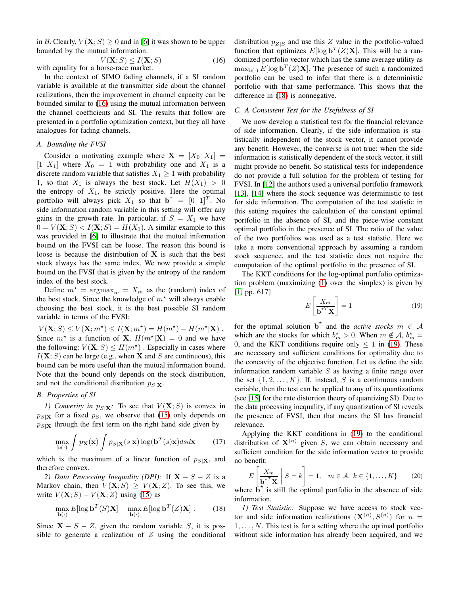in B. Clearly,  $V(X; S) \ge 0$  and in [\[6\]](#page-5-5) it was shown to be upper bounded by the mutual information:

<span id="page-3-0"></span>
$$
V(\mathbf{X}; S) \le I(\mathbf{X}; S)
$$
 with equality for a horse-race market. (16)

In the context of SIMO fading channels, if a SI random variable is available at the transmitter side about the channel realizations, then the improvement in channel capacity can be bounded similar to [\(16\)](#page-3-0) using the mutual information between the channel coefficients and SI. The results that follow are presented in a portfolio optimization context, but they all have analogues for fading channels.

# *A. Bounding the FVSI*

Consider a motivating example where  $X = [X_0 \ X_1] =$  $[1\ X_1]$  where  $X_0 = 1$  with probability one and  $X_1$  is a discrete random variable that satisfies  $X_1 \geq 1$  with probability 1, so that  $X_1$  is always the best stock. Let  $H(X_1) > 0$ the entropy of  $X_1$ , be strictly positive. Here the optimal portfolio will always pick  $X_1$  so that  $\mathbf{b}^* = \begin{bmatrix} 0 \\ 1 \end{bmatrix}^T$ . No side information random variable in this setting will offer any gains in the growth rate. In particular, if  $S = X_1$  we have  $0 = V(\mathbf{X}; S) < I(\mathbf{X}; S) = H(X_1)$ . A similar example to this was provided in [\[6\]](#page-5-5) to illustrate that the mutual information bound on the FVSI can be loose. The reason this bound is loose is because the distribution of  $X$  is such that the best stock always has the same index. We now provide a simple bound on the FVSI that is given by the entropy of the random index of the best stock.

Define  $m^* = \text{argmax}_m = X_m$  as the (random) index of the best stock. Since the knowledge of  $m^*$  will always enable choosing the best stock, it is the best possible SI random variable in terms of the FVSI:

 $V(\mathbf{X}; S) \leq V(\mathbf{X}; m^*) \leq I(\mathbf{X}; m^*) = H(m^*) - H(m^*|\mathbf{X})$ . Since  $m^*$  is a function of **X**,  $H(m^*|\mathbf{X}) = 0$  and we have the following:  $V(\mathbf{X}; S) \leq H(m^*)$ . Especially in cases where  $I(X; S)$  can be large (e.g., when X and S are continuous), this bound can be more useful than the mutual information bound. Note that the bound only depends on the stock distribution, and not the conditional distribution  $p_{S|X}$ .

# *B. Properties of SI*

*1) Convexity in*  $p_{S|\mathbf{X}}$ : To see that  $V(\mathbf{X}; S)$  is convex in  $p_{S|X}$  for a fixed  $p_S$ , we observe that [\(15\)](#page-2-8) only depends on  $p_{S|X}$  through the first term on the right hand side given by

$$
\max_{\mathbf{b}(\cdot)} \int p_{\mathbf{X}}(\mathbf{x}) \int p_{S|\mathbf{X}}(s|\mathbf{x}) \log(\mathbf{b}^T(s)\mathbf{x}) ds d\mathbf{x} \tag{17}
$$

which is the maximum of a linear function of  $p_{S|X}$ , and therefore convex.

*2) Data Processing Inequality (DPI):* If  $X - S - Z$  is a Markov chain, then  $V(X;S) \geq V(X;Z)$ . To see this, we write  $V(X; S) - V(X; Z)$  using [\(15\)](#page-2-8) as

<span id="page-3-1"></span>
$$
\max_{\mathbf{b}(\cdot)} E[\log \mathbf{b}^T(S)\mathbf{X}] - \max_{\mathbf{b}(\cdot)} E[\log \mathbf{b}^T(Z)\mathbf{X}]. \tag{18}
$$

Since  $X - S - Z$ , given the random variable S, it is possible to generate a realization of  $Z$  using the conditional distribution  $p_{Z|S}$  and use this Z value in the portfolio-valued function that optimizes  $E[\log \mathbf{b}^T(Z)\mathbf{X}]$ . This will be a randomized portfolio vector which has the same average utility as  $\max_{\mathbf{b}(\cdot)} E[\log \mathbf{b}^T(Z) \mathbf{X}]$ . The presence of such a randomized portfolio can be used to infer that there is a deterministic portfolio with that same performance. This shows that the difference in [\(18\)](#page-3-1) is nonnegative.

# *C. A Consistent Test for the Usefulness of SI*

We now develop a statistical test for the financial relevance of side information. Clearly, if the side information is statistically independent of the stock vector, it cannot provide any benefit. However, the converse is not true: when the side information is statistically dependent of the stock vector, it still might provide no benefit. So statistical tests for independence do not provide a full solution for the problem of testing for FVSI. In [\[12\]](#page-5-11) the authors used a universal portfolio framework [\[13\]](#page-5-12), [\[14\]](#page-5-13) where the stock sequence was deterministic to test for side information. The computation of the test statistic in this setting requires the calculation of the constant optimal portfolio in the absence of SI, and the piece-wise constant optimal portfolio in the presence of SI. The ratio of the value of the two portfolios was used as a test statistic. Here we take a more conventional approach by assuming a random stock sequence, and the test statistic does not require the computation of the optimal portfolio in the presence of SI.

The KKT conditions for the log-optimal portfolio optimization problem (maximizing [\(1\)](#page-0-0) over the simplex) is given by [\[1,](#page-5-0) pp. 617]

<span id="page-3-2"></span>
$$
E\left[\frac{X_m}{\mathbf{b}^{*T}\mathbf{X}}\right] = 1\tag{19}
$$

for the optimal solution  $\mathbf{b}^*$  and the *active stocks*  $m \in \mathcal{A}$ which are the stocks for which  $b_m^* > 0$ . When  $m \notin A$ ,  $b_m^* =$ 0, and the KKT conditions require only  $\leq 1$  in [\(19\)](#page-3-2). These are necessary and sufficient conditions for optimality due to the concavity of the objective function. Let us define the side information random variable  $S$  as having a finite range over the set  $\{1, 2, \ldots, K\}$ . If, instead, S is a continuous random variable, then the test can be applied to any of its quantizations (see [\[15\]](#page-5-14) for the rate distortion theory of quantizing SI). Due to the data processing inequality, if any quantization of SI reveals the presence of FVSI, then that means the SI has financial relevance.

Applying the KKT conditions in [\(19\)](#page-3-2) to the conditional distribution of  $X^{(n)}$  given S, we can obtain necessary and sufficient condition for the side information vector to provide no benefit:

<span id="page-3-3"></span>
$$
E\left[\frac{X_m}{\mathbf{b}^{*T}\mathbf{X}} \middle| S = k\right] = 1, \quad m \in \mathcal{A}, \ k \in \{1, \dots, K\} \tag{20}
$$

where  $\mathbf{b}^*$  is still the optimal portfolio in the absence of side information.

*1) Test Statistic:* Suppose we have access to stock vector and side information realizations  $(X^{(n)}, S^{(n)})$  for  $n =$  $1, \ldots, N$ . This test is for a setting where the optimal portfolio without side information has already been acquired, and we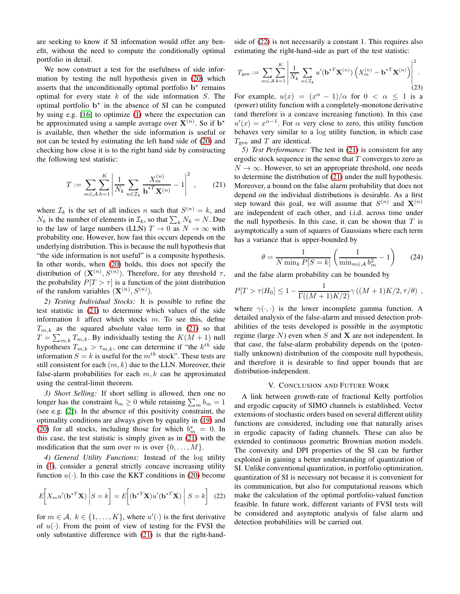are seeking to know if SI information would offer any benefit, without the need to compute the conditionally optimal portfolio in detail.

We now construct a test for the usefulness of side information by testing the null hypothesis given in [\(20\)](#page-3-3) which asserts that the unconditionally optimal portfolio  $b^*$  remains optimal for every state  $k$  of the side information  $S$ . The optimal portfolio  $b^*$  in the absence of SI can be computed by using e.g. [\[16\]](#page-5-15) to optimize [\(1\)](#page-0-0) where the expectation can be approximated using a sample average over  $X^{(n)}$ . So if  $b^*$ is available, then whether the side information is useful or not can be tested by estimating the left hand side of [\(20\)](#page-3-3) and checking how close it is to the right hand side by constructing the following test statistic:

<span id="page-4-0"></span>
$$
T := \sum_{m \in A} \sum_{k=1}^{K} \left| \frac{1}{N_k} \sum_{n \in \mathcal{I}_k} \frac{X_m^{(n)}}{\mathbf{b}^{*T} \mathbf{X}^{(n)}} - 1 \right|^2 ,\qquad(21)
$$

where  $\mathcal{I}_k$  is the set of all indices n such that  $S^{(n)} = k$ , and  $N_k$  is the number of elements in  $\mathcal{I}_k$ , so that  $\sum_k N_k = N$ . Due to the law of large numbers (LLN)  $T \to 0$  as  $N \to \infty$  with probability one. However, how fast this occurs depends on the underlying distribution. This is because the null hypothesis that "the side information is not useful" is a composite hypothesis. In other words, when [\(20\)](#page-3-3) holds, this does not specify the distribution of  $(\mathbf{X}^{(n)}, S^{(n)})$ . Therefore, for any threshold  $\tau$ , the probability  $P[T > \tau]$  is a function of the joint distribution of the random variables  $(\mathbf{X}^{(n)}, S^{(n)})$ .

*2) Testing Individual Stocks:* It is possible to refine the test statistic in [\(21\)](#page-4-0) to determine which values of the side information  $k$  affect which stocks  $m$ . To see this, define  $T_{m,k}$  as the squared absolute value term in [\(21\)](#page-4-0) so that  $T = \sum_{m,k} T_{m,k}$ . By individually testing the  $K(M + 1)$  null hypotheses  $T_{m,k} > \tau_{m,k}$ , one can determine if "the  $k^{th}$  side information  $S = k$  is useful for the  $m<sup>th</sup>$  stock". These tests are still consistent for each  $(m, k)$  due to the LLN. Moreover, their false-alarm probabilities for each  $m, k$  can be approximated using the central-limit theorem.

*3) Short Selling:* If short selling is allowed, then one no longer has the constraint  $b_m \ge 0$  while retaining  $\sum_m b_m = 1$ (see e.g. [\[2\]](#page-5-1)). In the absence of this positivity constraint, the optimality conditions are always given by equality in [\(19\)](#page-3-2) and [\(20\)](#page-3-3) for all stocks, including those for which  $b_m^* = 0$ . In this case, the test statistic is simply given as in [\(21\)](#page-4-0) with the modification that the sum over m is over  $\{0, \ldots, M\}$ .

*4) General Utility Functions:* Instead of the log utility in [\(1\)](#page-0-0), consider a general strictly concave increasing utility function  $u(\cdot)$ . In this case the KKT conditions in [\(20\)](#page-3-3) become

<span id="page-4-1"></span>
$$
E\left[X_m u'(\mathbf{b}^{*T}\mathbf{X})\middle|S=k\right] = E\left[(\mathbf{b}^{*T}\mathbf{X})u'(\mathbf{b}^{*T}\mathbf{X})\middle|S=k\right]
$$
 (22)

for  $m \in \mathcal{A}, k \in \{1, ..., K\}$ , where  $u'(\cdot)$  is the first derivative of  $u(\cdot)$ . From the point of view of testing for the FVSI the only substantive difference with [\(21\)](#page-4-0) is that the right-handside of [\(22\)](#page-4-1) is not necessarily a constant 1. This requires also estimating the right-hand-side as part of the test statistic:

$$
T_{\text{gen}} := \sum_{m \in \mathcal{A}} \sum_{k=1}^{K} \left| \frac{1}{N_k} \sum_{n \in \mathcal{I}_k} u'(\mathbf{b}^{\star T} \mathbf{X}^{(n)}) \left( X_m^{(n)} - \mathbf{b}^{\star T} \mathbf{X}^{(n)} \right) \right|^2.
$$
\n(23)

For example,  $u(x) = (x^{\alpha} - 1)/\alpha$  for  $0 < \alpha \le 1$  is a (power) utility function with a completely-monotone derivative (and therefore is a concave increasing function). In this case  $u'(x) = x^{\alpha-1}$ . For  $\alpha$  very close to zero, this utility function behaves very similar to a log utility function, in which case  $T_{\text{gen}}$  and T are identical.

*5) Test Performance:* The test in [\(21\)](#page-4-0) is consistent for any ergodic stock sequence in the sense that  $T$  converges to zero as  $N \to \infty$ . However, to set an appropriate threshold, one needs to determine the distribution of [\(21\)](#page-4-0) under the null hypothesis. Moreover, a bound on the false alarm probability that does not depend on the individual distributions is desirable. As a first step toward this goal, we will assume that  $S^{(n)}$  and  $\mathbf{X}^{(n)}$ are independent of each other, and i.i.d. across time under the null hypothesis. In this case, it can be shown that  $T$  is asymptotically a sum of squares of Gaussians where each term has a variance that is upper-bounded by

$$
\theta = \frac{1}{N \min_k P[S = k]} \left( \frac{1}{\min_{m \in \mathcal{A}} b_m^2} - 1 \right) \tag{24}
$$

and the false alarm probability can be bounded by

$$
P[T > \tau | H_0] \le 1 - \frac{1}{\Gamma((M+1)K/2)} \gamma ((M+1)K/2, \tau/\theta) ,
$$

where  $\gamma(\cdot, \cdot)$  is the lower incomplete gamma function. A detailed analysis of the false-alarm and missed detection probabilities of the tests developed is possible in the asymptotic regime (large  $N$ ) even when S and X are not independent. In that case, the false-alarm probability depends on the (potentially unknown) distribution of the composite null hypothesis, and therefore it is desirable to find upper bounds that are distribution-independent.

#### V. CONCLUSION AND FUTURE WORK

A link between growth-rate of fractional Kelly portfolios and ergodic capacity of SIMO channels is established. Vector extensions of stochastic orders based on several different utility functions are considered, including one that naturally arises in ergodic capacity of fading channels. These can also be extended to continuous geometric Brownian motion models. The convexity and DPI properties of the SI can be further exploited in gaining a better understanding of quantization of SI. Unlike conventional quantization, in portfolio optimization, quantization of SI is necessary not because it is convenient for its communication, but also for computational reasons which make the calculation of the optimal portfolio-valued function feasible. In future work, different variants of FVSI tests will be considered and asymptotic analysis of false alarm and detection probabilities will be carried out.